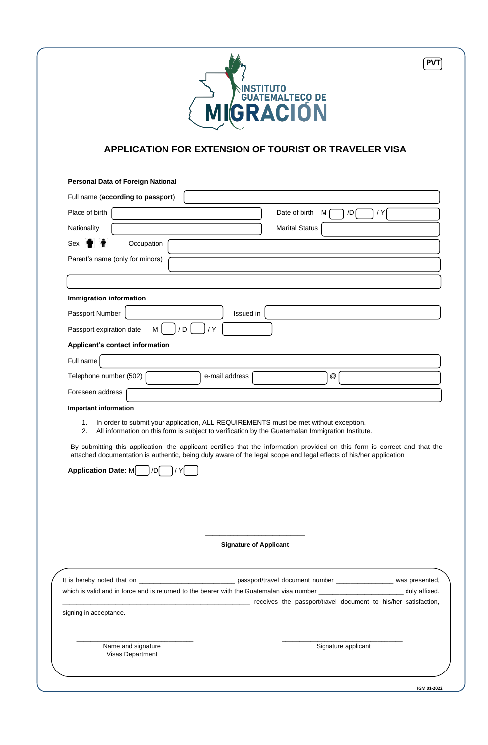

## **APPLICATION FOR EXTENSION OF TOURIST OR TRAVELER VISA**

| <b>Personal Data of Foreign National</b>                                                                                                                                                                                                                                      |
|-------------------------------------------------------------------------------------------------------------------------------------------------------------------------------------------------------------------------------------------------------------------------------|
| Full name (according to passport)                                                                                                                                                                                                                                             |
| Place of birth<br>Date of birth<br>/D<br>M<br>/ Y                                                                                                                                                                                                                             |
| <b>Marital Status</b><br>Nationality                                                                                                                                                                                                                                          |
| $\ddot{\mathbf{r}}$<br>Sex<br>Occupation                                                                                                                                                                                                                                      |
| Parent's name (only for minors)                                                                                                                                                                                                                                               |
|                                                                                                                                                                                                                                                                               |
| Immigration information                                                                                                                                                                                                                                                       |
| Passport Number<br>Issued in                                                                                                                                                                                                                                                  |
| M<br>/D<br>/ Y<br>Passport expiration date                                                                                                                                                                                                                                    |
| <b>Applicant's contact information</b>                                                                                                                                                                                                                                        |
| Full name                                                                                                                                                                                                                                                                     |
| Telephone number (502)<br>$^\text{\textregistered}$<br>e-mail address                                                                                                                                                                                                         |
| Foreseen address                                                                                                                                                                                                                                                              |
| <b>Important information</b>                                                                                                                                                                                                                                                  |
| By submitting this application, the applicant certifies that the information provided on this form is correct and that the<br>attached documentation is authentic, being duly aware of the legal scope and legal effects of his/her application<br>Application Date: M<br>/DI |
| <b>Signature of Applicant</b>                                                                                                                                                                                                                                                 |
| receives the passport/travel document to his/her satisfaction, matches contains the passport/travel document to his/her satisfaction,<br>signing in acceptance.                                                                                                               |
| Signature applicant<br>Name and signature<br>Visas Department                                                                                                                                                                                                                 |
| IGM 01-2022                                                                                                                                                                                                                                                                   |
|                                                                                                                                                                                                                                                                               |